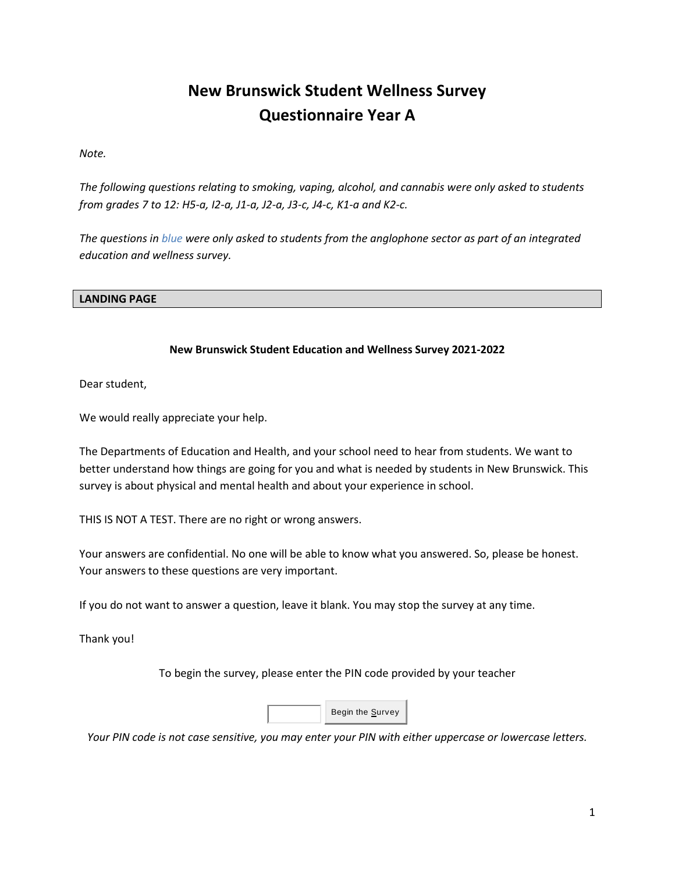# **New Brunswick Student Wellness Survey Questionnaire Year A**

*Note.* 

*The following questions relating to smoking, vaping, alcohol, and cannabis were only asked to students from grades 7 to 12: H5-a, I2-a, J1-a, J2-a, J3-c, J4-c, K1-a and K2-c.*

*The questions in blue were only asked to students from the anglophone sector as part of an integrated education and wellness survey.* 

#### **LANDING PAGE**

### **New Brunswick Student Education and Wellness Survey 2021-2022**

Dear student,

We would really appreciate your help.

The Departments of Education and Health, and your school need to hear from students. We want to better understand how things are going for you and what is needed by students in New Brunswick. This survey is about physical and mental health and about your experience in school.

THIS IS NOT A TEST. There are no right or wrong answers.

Your answers are confidential. No one will be able to know what you answered. So, please be honest. Your answers to these questions are very important.

If you do not want to answer a question, leave it blank. You may stop the survey at any time.

Thank you!

To begin the survey, please enter the PIN code provided by your teacher



*Your PIN code is not case sensitive, you may enter your PIN with either uppercase or lowercase letters.*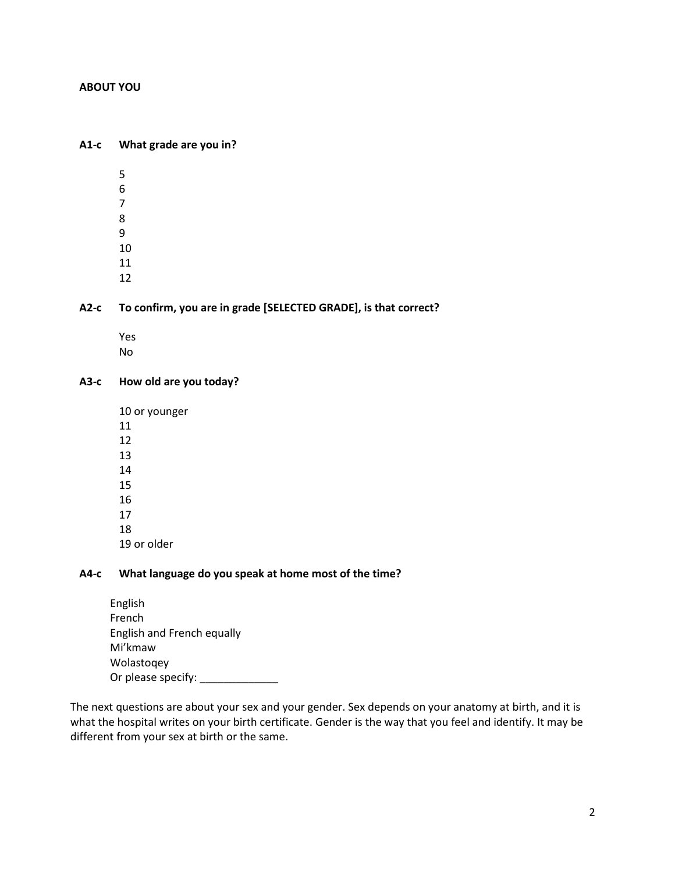#### **ABOUT YOU**

#### **A1-c What grade are you in?**

- 5 6
- 
- 7 8
- 9
- 10
- 11
- 12

### **A2-c To confirm, you are in grade [SELECTED GRADE], is that correct?**

Yes No

### **A3-c How old are you today?**

#### **A4-c What language do you speak at home most of the time?**

| English                    |  |
|----------------------------|--|
| French                     |  |
| English and French equally |  |
| Mi'kmaw                    |  |
| Wolastogey                 |  |
| Or please specify:         |  |

The next questions are about your sex and your gender. Sex depends on your anatomy at birth, and it is what the hospital writes on your birth certificate. Gender is the way that you feel and identify. It may be different from your sex at birth or the same.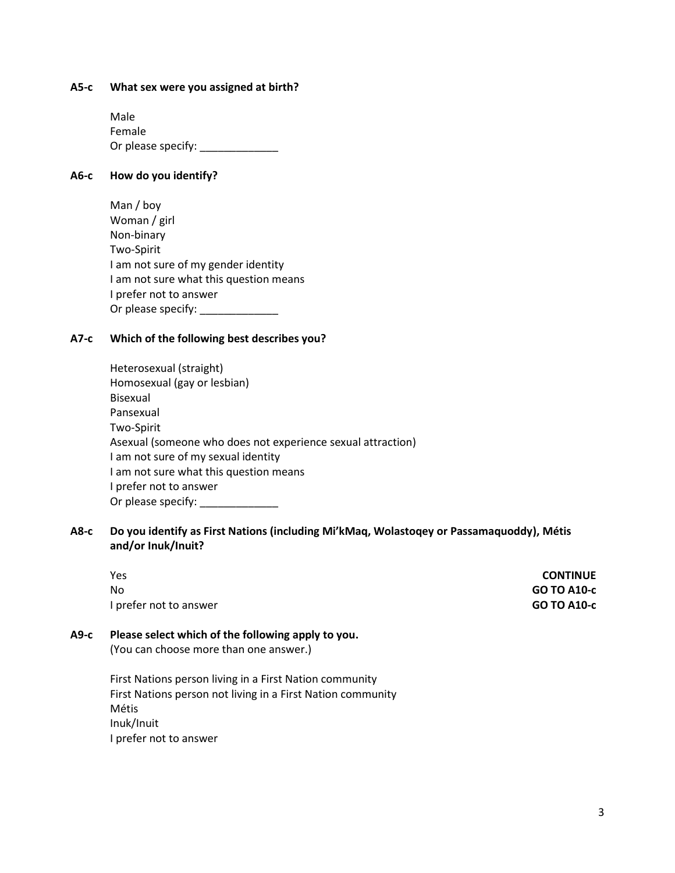#### **A5-c What sex were you assigned at birth?**

Male Female Or please specify: \_\_\_\_\_\_\_\_\_\_\_\_\_

### **A6-c How do you identify?**

| Man / boy                              |
|----------------------------------------|
| Woman / girl                           |
| Non-binary                             |
| Two-Spirit                             |
| I am not sure of my gender identity    |
| I am not sure what this question means |
| I prefer not to answer                 |
| Or please specify:                     |

### **A7-c Which of the following best describes you?**

| Heterosexual (straight)                                     |
|-------------------------------------------------------------|
| Homosexual (gay or lesbian)                                 |
| Bisexual                                                    |
| Pansexual                                                   |
| Two-Spirit                                                  |
| Asexual (someone who does not experience sexual attraction) |
| I am not sure of my sexual identity                         |
| I am not sure what this question means                      |
| I prefer not to answer                                      |
| Or please specify:                                          |

### **A8-c Do you identify as First Nations (including Mi'kMaq, Wolastoqey or Passamaquoddy), Métis and/or Inuk/Inuit?**

| А9-с | Please select which of the following apply to you. |                    |
|------|----------------------------------------------------|--------------------|
|      | I prefer not to answer                             | <b>GO TO A10-c</b> |
|      | No                                                 | <b>GO TO A10-c</b> |
|      | <b>Yes</b>                                         | <b>CONTINUE</b>    |
|      |                                                    |                    |

# (You can choose more than one answer.)

First Nations person living in a First Nation community First Nations person not living in a First Nation community Métis Inuk/Inuit I prefer not to answer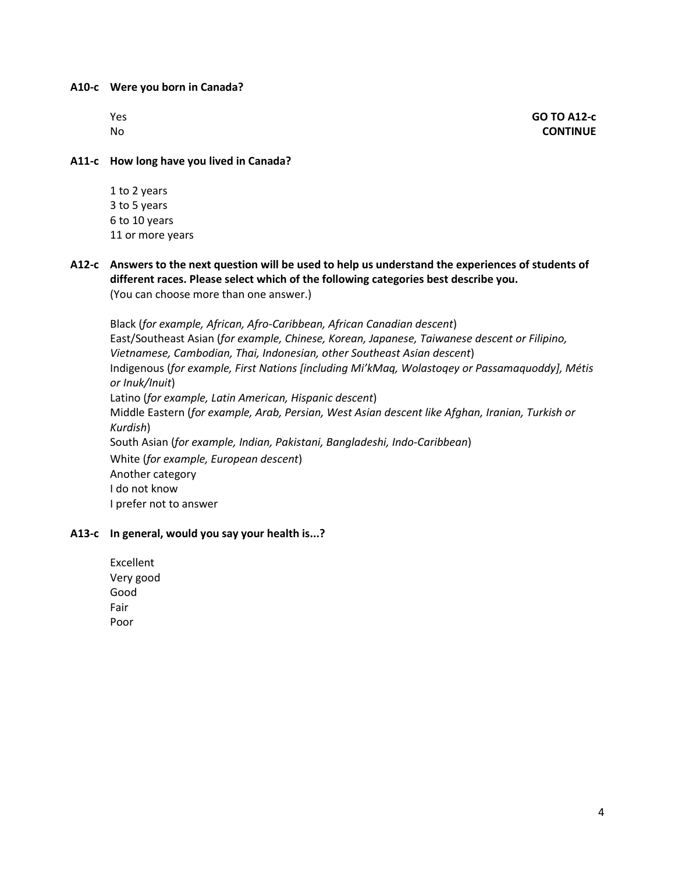**A10-c Were you born in Canada?**

| Yе<br>ς |  |
|---------|--|
| Nc      |  |

Yes **GO TO A12-c**  No **CONTINUE**

**A11-c How long have you lived in Canada?**

- 1 to 2 years 3 to 5 years 6 to 10 years 11 or more years
- **A12-c Answers to the next question will be used to help us understand the experiences of students of different races. Please select which of the following categories best describe you.** (You can choose more than one answer.)

Black (*for example, African, Afro-Caribbean, African Canadian descent*) East/Southeast Asian (*for example, Chinese, Korean, Japanese, Taiwanese descent or Filipino, Vietnamese, Cambodian, Thai, Indonesian, other Southeast Asian descent*) Indigenous (*for example, First Nations [including Mi'kMaq, Wolastoqey or Passamaquoddy], Métis or Inuk/Inuit*) Latino (*for example, Latin American, Hispanic descent*) Middle Eastern (*for example, Arab, Persian, West Asian descent like Afghan, Iranian, Turkish or Kurdish*) South Asian (*for example, Indian, Pakistani, Bangladeshi, Indo-Caribbean*) White (*for example, European descent*) Another category I do not know I prefer not to answer

### **A13-c In general, would you say your health is...?**

Excellent Very good Good Fair Poor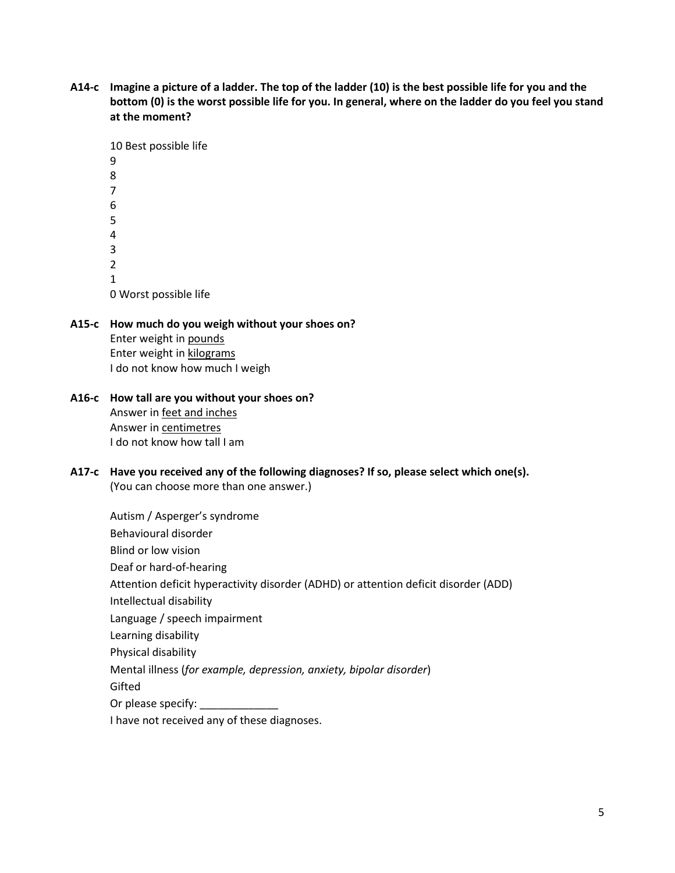**A14-c Imagine a picture of a ladder. The top of the ladder (10) is the best possible life for you and the bottom (0) is the worst possible life for you. In general, where on the ladder do you feel you stand at the moment?**

- **A15-c How much do you weigh without your shoes on?**  Enter weight in pounds Enter weight in kilograms I do not know how much I weigh
- **A16-c How tall are you without your shoes on?**  Answer in feet and inches Answer in centimetres I do not know how tall I am
- **A17-c Have you received any of the following diagnoses? If so, please select which one(s).** (You can choose more than one answer.)

Autism / Asperger's syndrome Behavioural disorder Blind or low vision Deaf or hard-of-hearing Attention deficit hyperactivity disorder (ADHD) or attention deficit disorder (ADD) Intellectual disability Language / speech impairment Learning disability Physical disability Mental illness (*for example, depression, anxiety, bipolar disorder*) Gifted Or please specify:

I have not received any of these diagnoses.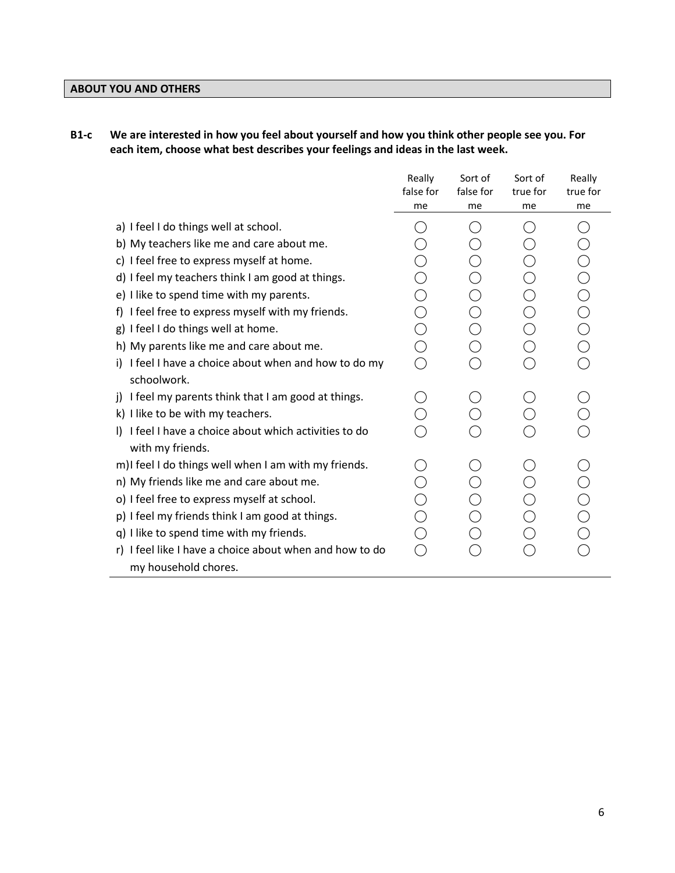# **ABOUT YOU AND OTHERS**

# **B1-c We are interested in how you feel about yourself and how you think other people see you. For each item, choose what best describes your feelings and ideas in the last week.**

|                                                          | Really<br>false for<br>me                   | Sort of<br>false for<br>me | Sort of<br>true for<br>me | Really<br>true for<br>me |
|----------------------------------------------------------|---------------------------------------------|----------------------------|---------------------------|--------------------------|
| a) I feel I do things well at school.                    |                                             |                            |                           |                          |
|                                                          |                                             |                            |                           |                          |
| b) My teachers like me and care about me.                |                                             |                            |                           |                          |
| c) I feel free to express myself at home.                |                                             |                            |                           |                          |
| d) I feel my teachers think I am good at things.         |                                             |                            |                           |                          |
| e) I like to spend time with my parents.                 |                                             |                            |                           |                          |
| f) I feel free to express myself with my friends.        |                                             |                            |                           |                          |
| g) I feel I do things well at home.                      | 0                                           |                            |                           |                          |
| h) My parents like me and care about me.                 |                                             |                            |                           | OOOOO                    |
| I feel I have a choice about when and how to do my<br>i) | $\left(\begin{array}{c} \end{array}\right)$ |                            |                           |                          |
| schoolwork.                                              |                                             |                            |                           |                          |
| I feel my parents think that I am good at things.<br>i)  |                                             |                            |                           |                          |
| k) I like to be with my teachers.                        |                                             |                            |                           |                          |
| I) I feel I have a choice about which activities to do   |                                             |                            |                           |                          |
| with my friends.                                         |                                             |                            |                           |                          |
| m)I feel I do things well when I am with my friends.     |                                             |                            |                           |                          |
| n) My friends like me and care about me.                 |                                             |                            |                           |                          |
| o) I feel free to express myself at school.              |                                             |                            |                           | $\rm\check{\rm O}$       |
| p) I feel my friends think I am good at things.          |                                             |                            |                           |                          |
| q) I like to spend time with my friends.                 |                                             |                            |                           |                          |
| r) I feel like I have a choice about when and how to do  | $\hat{\phantom{a}}$                         |                            |                           |                          |
| my household chores.                                     |                                             |                            |                           |                          |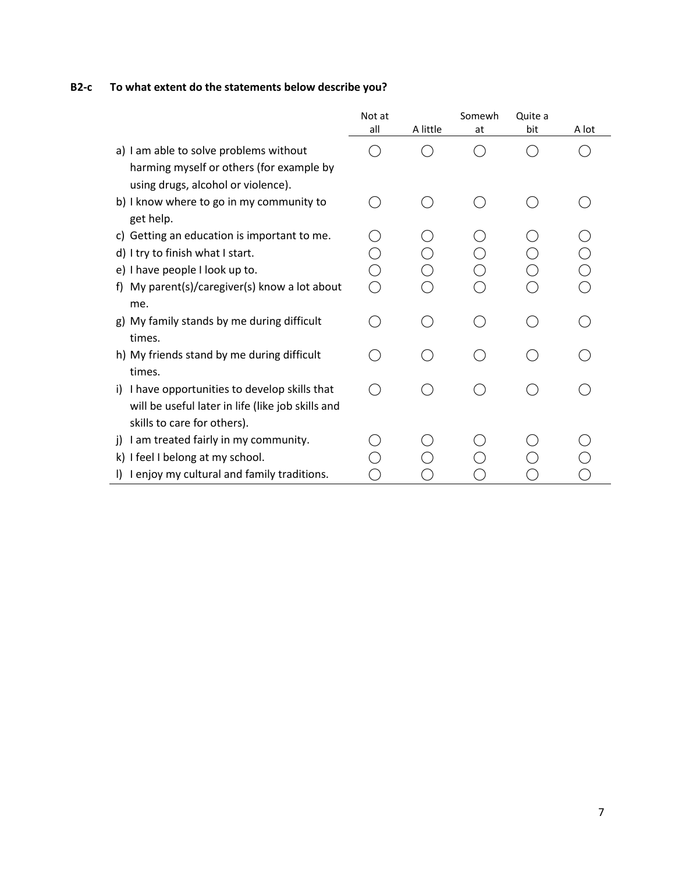# **B2-c To what extent do the statements below describe you?**

|                                                      | Not at |          | Somewh | Quite a |       |
|------------------------------------------------------|--------|----------|--------|---------|-------|
|                                                      | all    | A little | at     | bit     | A lot |
| a) I am able to solve problems without               |        |          |        |         |       |
| harming myself or others (for example by             |        |          |        |         |       |
| using drugs, alcohol or violence).                   |        |          |        |         |       |
| b) I know where to go in my community to             |        |          |        |         |       |
| get help.                                            |        |          |        |         |       |
| c) Getting an education is important to me.          |        |          |        |         |       |
| d) I try to finish what I start.                     |        |          |        |         |       |
| e) I have people I look up to.                       |        |          |        |         |       |
| f) My parent(s)/caregiver(s) know a lot about        |        |          |        |         |       |
| me.                                                  |        |          |        |         |       |
| g) My family stands by me during difficult           |        |          |        |         |       |
| times.                                               |        |          |        |         |       |
| h) My friends stand by me during difficult           |        |          |        |         |       |
| times.                                               |        |          |        |         |       |
| i) I have opportunities to develop skills that       |        |          |        |         |       |
| will be useful later in life (like job skills and    |        |          |        |         |       |
| skills to care for others).                          |        |          |        |         |       |
| I am treated fairly in my community.<br><sup>i</sup> |        |          |        |         |       |
| k) I feel I belong at my school.                     |        |          |        |         |       |
| I enjoy my cultural and family traditions.           |        |          |        |         |       |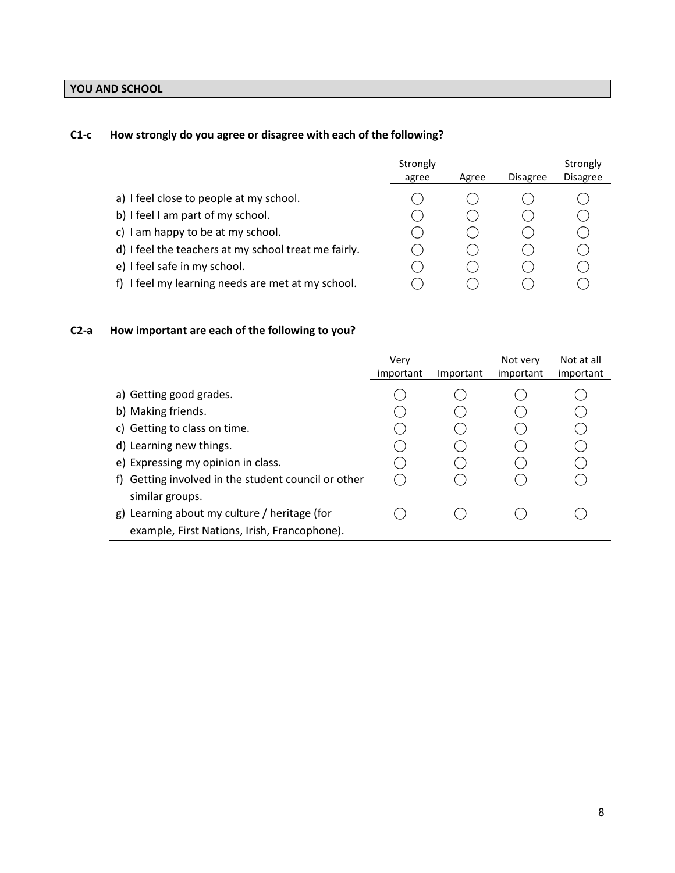# **YOU AND SCHOOL**

# **C1-c How strongly do you agree or disagree with each of the following?**

|                                                      | Strongly<br>agree | Agree | <b>Disagree</b> | Strongly<br><b>Disagree</b> |
|------------------------------------------------------|-------------------|-------|-----------------|-----------------------------|
| a) I feel close to people at my school.              |                   |       |                 |                             |
| b) I feel I am part of my school.                    |                   |       |                 |                             |
| c) I am happy to be at my school.                    |                   |       |                 |                             |
| d) I feel the teachers at my school treat me fairly. |                   |       |                 |                             |
| e) I feel safe in my school.                         |                   |       |                 |                             |
| f) I feel my learning needs are met at my school.    |                   |       |                 |                             |

# **C2-a How important are each of the following to you?**

|                                                                    | Verv<br>important | Important | Not very<br>important | Not at all<br>important |
|--------------------------------------------------------------------|-------------------|-----------|-----------------------|-------------------------|
| a) Getting good grades.<br>b) Making friends.                      |                   |           |                       |                         |
| c) Getting to class on time.                                       |                   |           |                       |                         |
| d) Learning new things.<br>e) Expressing my opinion in class.      |                   |           |                       |                         |
| Getting involved in the student council or other<br>Ť)             |                   |           |                       |                         |
| similar groups.<br>Learning about my culture / heritage (for<br>g) |                   |           |                       |                         |
| example, First Nations, Irish, Francophone).                       |                   |           |                       |                         |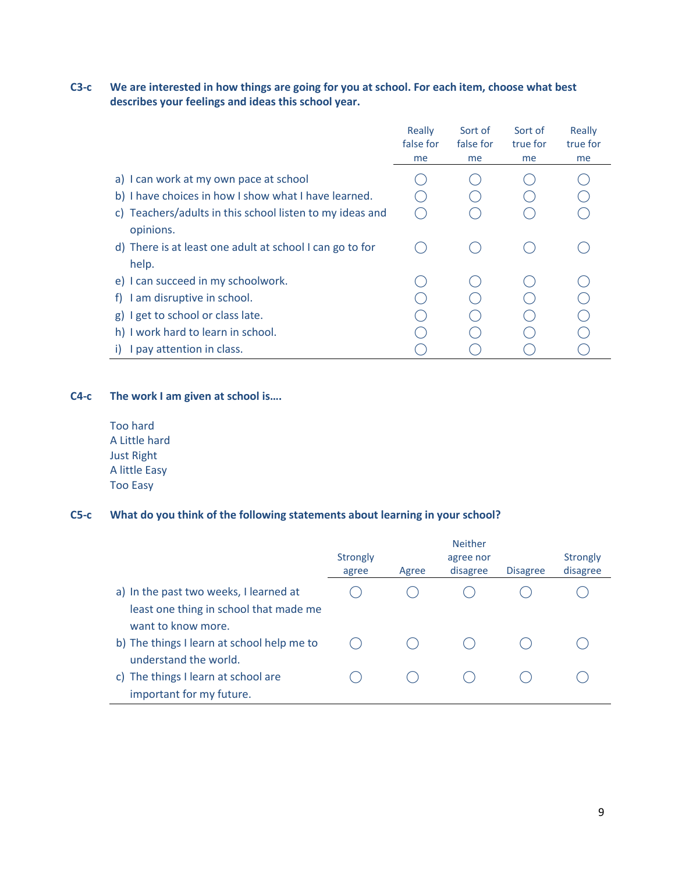# **C3-c We are interested in how things are going for you at school. For each item, choose what best describes your feelings and ideas this school year.**

|                                                                                                | Really<br>false for<br>me | Sort of<br>false for<br>me | Sort of<br>true for<br>me | Really<br>true for<br>me |
|------------------------------------------------------------------------------------------------|---------------------------|----------------------------|---------------------------|--------------------------|
| a) I can work at my own pace at school<br>b) I have choices in how I show what I have learned. |                           |                            |                           |                          |
| c) Teachers/adults in this school listen to my ideas and<br>opinions.                          |                           |                            |                           |                          |
| d) There is at least one adult at school I can go to for<br>help.                              |                           |                            |                           |                          |
| e) I can succeed in my schoolwork.                                                             |                           |                            |                           |                          |
| I am disruptive in school.<br>t).                                                              |                           |                            |                           |                          |
| g) I get to school or class late.                                                              |                           |                            |                           |                          |
| h) I work hard to learn in school.                                                             |                           |                            |                           |                          |
| I pay attention in class.                                                                      |                           |                            |                           |                          |

### **C4-c The work I am given at school is….**

Too hard A Little hard Just Right A little Easy Too Easy

#### **C5-c What do you think of the following statements about learning in your school?**

|                                            |          | <b>Neither</b> |           |                 |                 |  |
|--------------------------------------------|----------|----------------|-----------|-----------------|-----------------|--|
|                                            | Strongly |                | agree nor |                 | <b>Strongly</b> |  |
|                                            | agree    | Agree          | disagree  | <b>Disagree</b> | disagree        |  |
| a) In the past two weeks, I learned at     |          |                |           |                 |                 |  |
| least one thing in school that made me     |          |                |           |                 |                 |  |
| want to know more.                         |          |                |           |                 |                 |  |
| b) The things I learn at school help me to |          |                |           |                 |                 |  |
| understand the world.                      |          |                |           |                 |                 |  |
| c) The things I learn at school are        |          |                |           |                 |                 |  |
| important for my future.                   |          |                |           |                 |                 |  |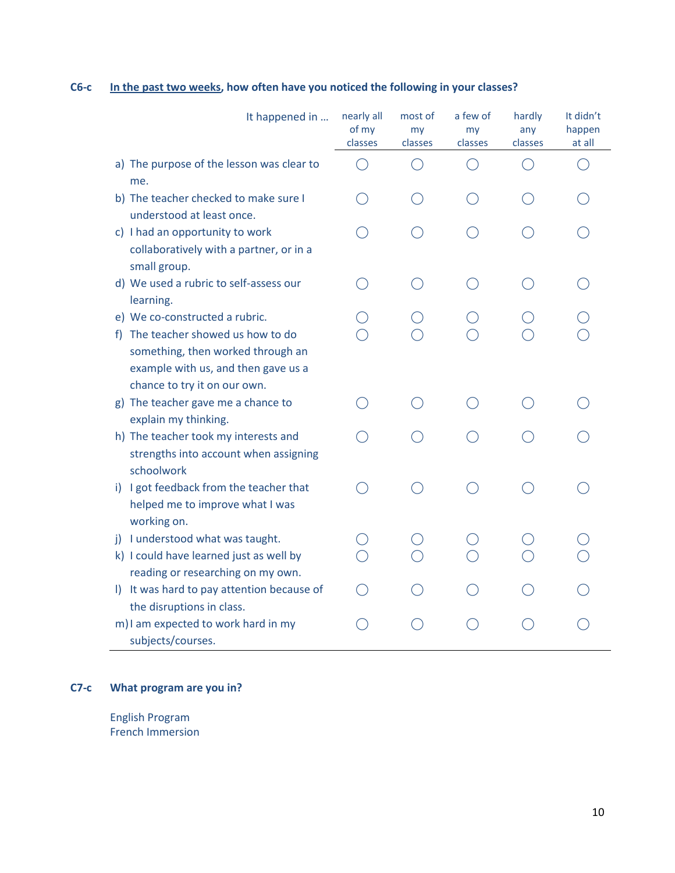| It happened in                                                                                                                                                                       | nearly all<br>of my<br>classes | most of<br>my<br>classes | a few of<br>my<br>classes | hardly<br>any<br>classes | It didn't<br>happen<br>at all |
|--------------------------------------------------------------------------------------------------------------------------------------------------------------------------------------|--------------------------------|--------------------------|---------------------------|--------------------------|-------------------------------|
| a) The purpose of the lesson was clear to<br>me.                                                                                                                                     |                                |                          |                           |                          |                               |
| b) The teacher checked to make sure I<br>understood at least once.                                                                                                                   |                                |                          |                           |                          |                               |
| c) I had an opportunity to work<br>collaboratively with a partner, or in a<br>small group.                                                                                           |                                |                          |                           |                          |                               |
| d) We used a rubric to self-assess our<br>learning.                                                                                                                                  |                                |                          |                           |                          |                               |
| e) We co-constructed a rubric.<br>The teacher showed us how to do<br>Ť).<br>something, then worked through an<br>example with us, and then gave us a<br>chance to try it on our own. |                                |                          |                           |                          |                               |
| g) The teacher gave me a chance to<br>explain my thinking.                                                                                                                           |                                |                          |                           |                          |                               |
| h) The teacher took my interests and<br>strengths into account when assigning<br>schoolwork                                                                                          |                                |                          |                           |                          |                               |
| i) I got feedback from the teacher that<br>helped me to improve what I was<br>working on.                                                                                            |                                |                          |                           |                          |                               |
| j) I understood what was taught.<br>k) I could have learned just as well by<br>reading or researching on my own.                                                                     |                                |                          |                           |                          |                               |
| I) It was hard to pay attention because of<br>the disruptions in class.                                                                                                              |                                |                          |                           |                          |                               |
| m) I am expected to work hard in my<br>subjects/courses.                                                                                                                             |                                |                          |                           |                          |                               |

# **C6-c In the past two weeks, how often have you noticed the following in your classes?**

# **C7-c What program are you in?**

English Program French Immersion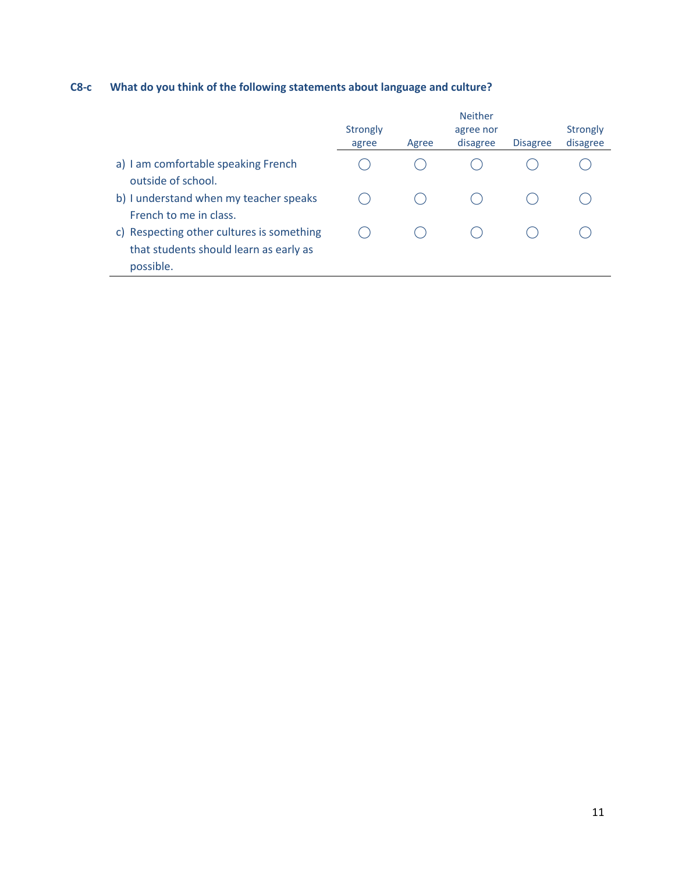# **C8-c What do you think of the following statements about language and culture?**

|                                           |          |       | <b>Neither</b>        |                 |                      |
|-------------------------------------------|----------|-------|-----------------------|-----------------|----------------------|
|                                           | Strongly |       | agree nor<br>disagree | <b>Disagree</b> | Strongly<br>disagree |
|                                           | agree    | Agree |                       |                 |                      |
| a) I am comfortable speaking French       |          |       |                       |                 |                      |
| outside of school.                        |          |       |                       |                 |                      |
| b) I understand when my teacher speaks    |          |       |                       |                 |                      |
| French to me in class.                    |          |       |                       |                 |                      |
| c) Respecting other cultures is something |          |       |                       |                 |                      |
| that students should learn as early as    |          |       |                       |                 |                      |
| possible.                                 |          |       |                       |                 |                      |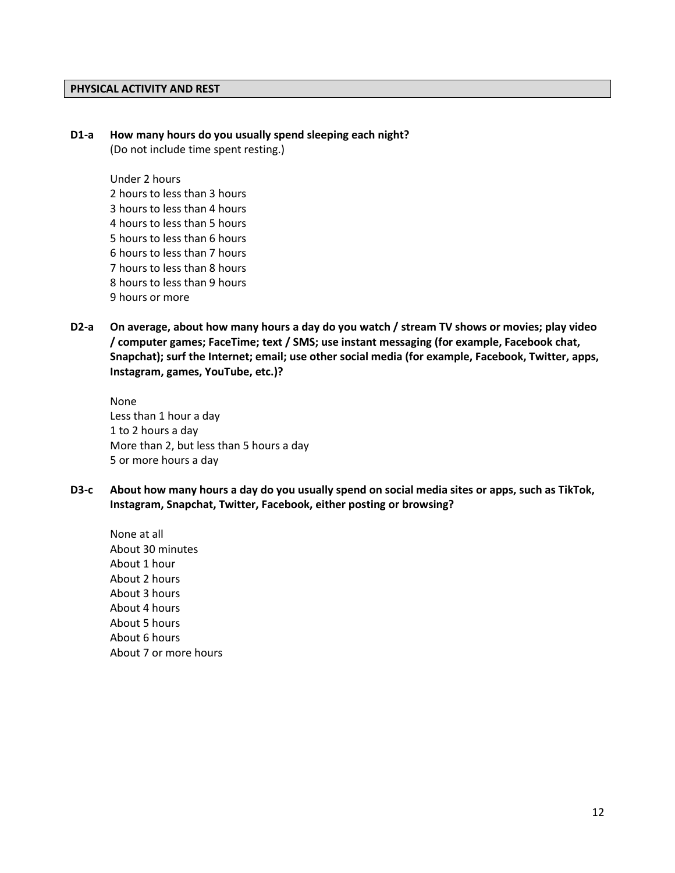#### **PHYSICAL ACTIVITY AND REST**

#### **D1-a How many hours do you usually spend sleeping each night?**

(Do not include time spent resting.)

Under 2 hours 2 hours to less than 3 hours 3 hours to less than 4 hours 4 hours to less than 5 hours 5 hours to less than 6 hours 6 hours to less than 7 hours 7 hours to less than 8 hours 8 hours to less than 9 hours 9 hours or more

**D2-a On average, about how many hours a day do you watch / stream TV shows or movies; play video / computer games; FaceTime; text / SMS; use instant messaging (for example, Facebook chat, Snapchat); surf the Internet; email; use other social media (for example, Facebook, Twitter, apps, Instagram, games, YouTube, etc.)?**

None Less than 1 hour a day 1 to 2 hours a day More than 2, but less than 5 hours a day 5 or more hours a day

**D3-c About how many hours a day do you usually spend on social media sites or apps, such as TikTok, Instagram, Snapchat, Twitter, Facebook, either posting or browsing?**

None at all About 30 minutes About 1 hour About 2 hours About 3 hours About 4 hours About 5 hours About 6 hours About 7 or more hours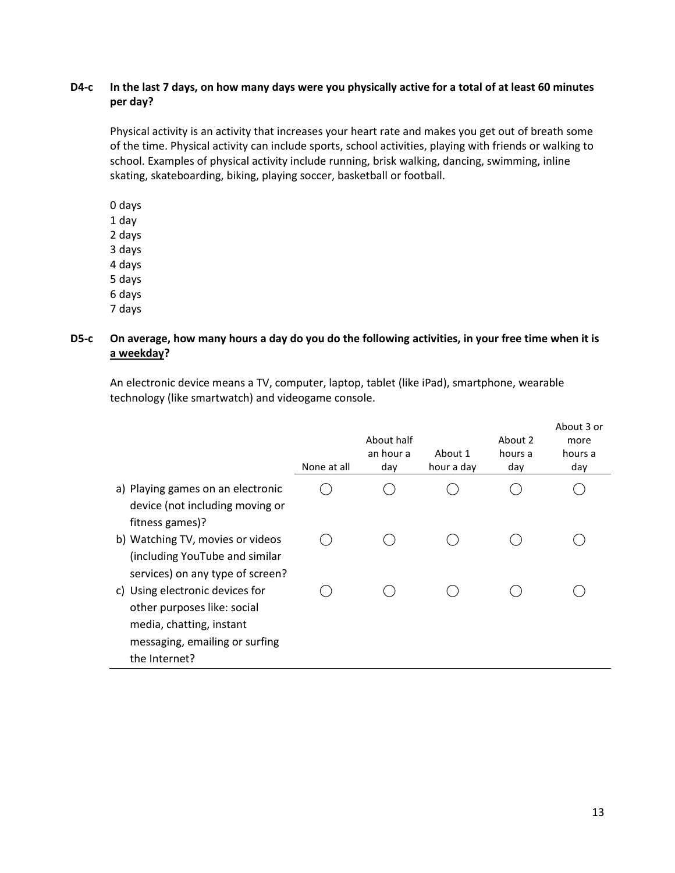## **D4-c In the last 7 days, on how many days were you physically active for a total of at least 60 minutes per day?**

Physical activity is an activity that increases your heart rate and makes you get out of breath some of the time. Physical activity can include sports, school activities, playing with friends or walking to school. Examples of physical activity include running, brisk walking, dancing, swimming, inline skating, skateboarding, biking, playing soccer, basketball or football.

0 days 1 day 2 days 3 days 4 days 5 days 6 days 7 days

# **D5-c On average, how many hours a day do you do the following activities, in your free time when it is a weekday?**

An electronic device means a TV, computer, laptop, tablet (like iPad), smartphone, wearable technology (like smartwatch) and videogame console.

|                                                                                                                                               | None at all | About half<br>an hour a<br>day | About 1<br>hour a day | About 2<br>hours a<br>day | About 3 or<br>more<br>hours a<br>day |
|-----------------------------------------------------------------------------------------------------------------------------------------------|-------------|--------------------------------|-----------------------|---------------------------|--------------------------------------|
| a) Playing games on an electronic<br>device (not including moving or<br>fitness games)?                                                       |             |                                |                       |                           |                                      |
| b) Watching TV, movies or videos<br>(including YouTube and similar<br>services) on any type of screen?                                        |             |                                |                       |                           |                                      |
| c) Using electronic devices for<br>other purposes like: social<br>media, chatting, instant<br>messaging, emailing or surfing<br>the Internet? |             |                                |                       |                           |                                      |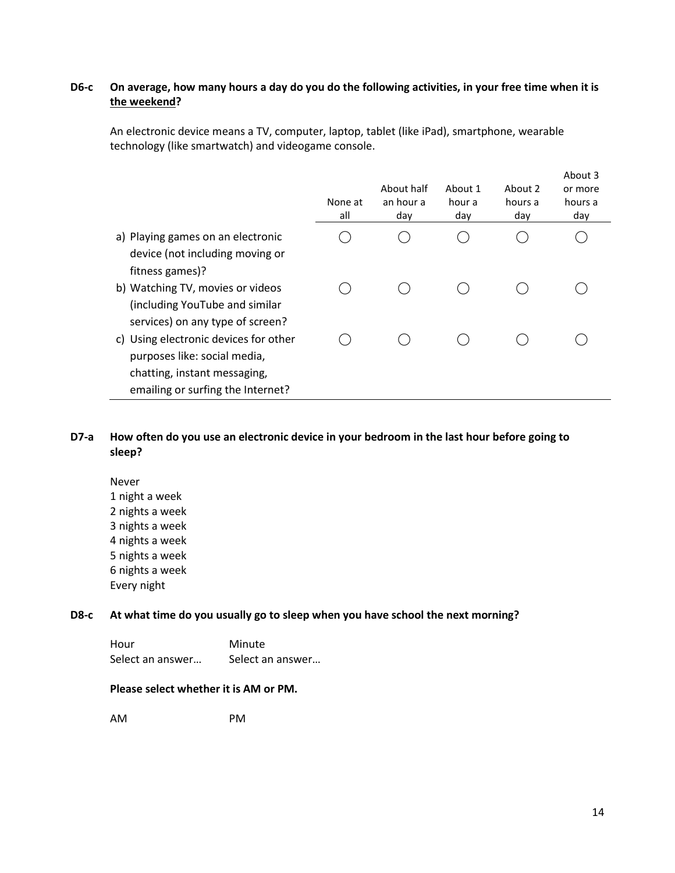## **D6-c On average, how many hours a day do you do the following activities, in your free time when it is the weekend?**

An electronic device means a TV, computer, laptop, tablet (like iPad), smartphone, wearable technology (like smartwatch) and videogame console.

|                                                                                                                                                                                | None at<br>all | About half<br>an hour a<br>day | About 1<br>hour a<br>day | About 2<br>hours a<br>day | About 3<br>or more<br>hours a<br>day |
|--------------------------------------------------------------------------------------------------------------------------------------------------------------------------------|----------------|--------------------------------|--------------------------|---------------------------|--------------------------------------|
| a) Playing games on an electronic<br>device (not including moving or                                                                                                           |                |                                |                          |                           |                                      |
| fitness games)?<br>b) Watching TV, movies or videos<br>(including YouTube and similar                                                                                          |                |                                |                          |                           |                                      |
| services) on any type of screen?<br>c) Using electronic devices for other<br>purposes like: social media,<br>chatting, instant messaging,<br>emailing or surfing the Internet? |                |                                |                          |                           |                                      |

### **D7-a How often do you use an electronic device in your bedroom in the last hour before going to sleep?**

Never 1 night a week 2 nights a week 3 nights a week 4 nights a week 5 nights a week 6 nights a week Every night

#### **D8-c At what time do you usually go to sleep when you have school the next morning?**

Hour Minute Select an answer... Select an answer...

### **Please select whether it is AM or PM.**

AM PM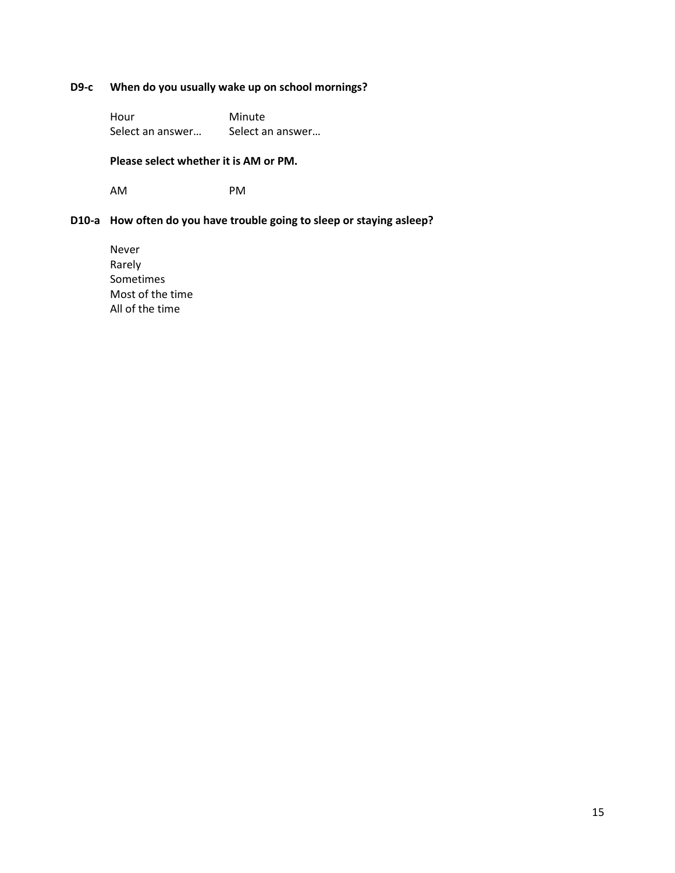# **D9-c When do you usually wake up on school mornings?**

Hour Minute Select an answer... Select an answer...

**Please select whether it is AM or PM.**

AM PM

# **D10-a How often do you have trouble going to sleep or staying asleep?**

Never Rarely Sometimes Most of the time All of the time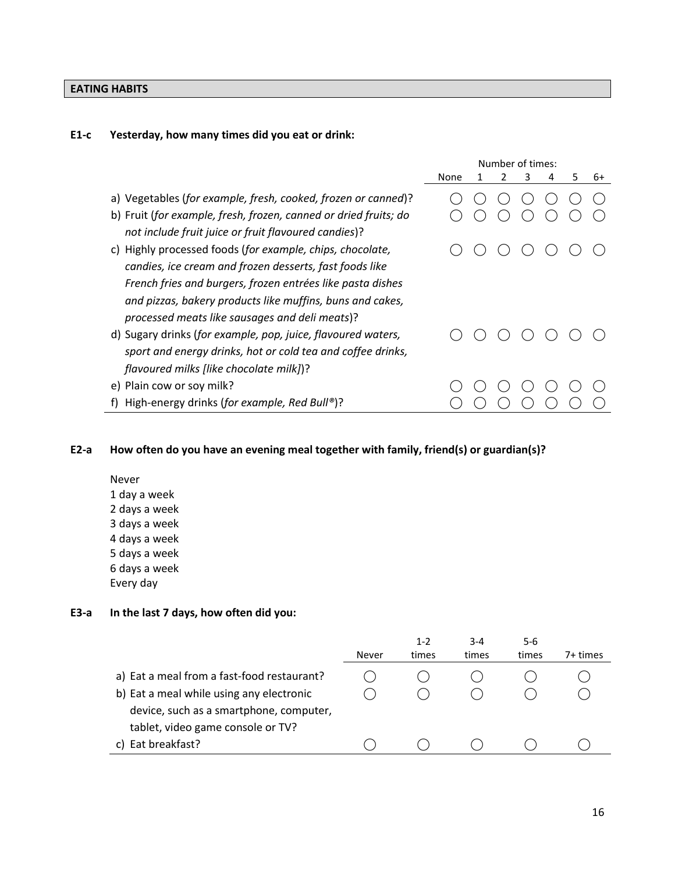# **EATING HABITS**

# **E1-c Yesterday, how many times did you eat or drink:**

|                                                                  | Number of times: |  |  |   |   |   |    |
|------------------------------------------------------------------|------------------|--|--|---|---|---|----|
|                                                                  | None             |  |  | 3 | 4 | 5 | 6+ |
| a) Vegetables (for example, fresh, cooked, frozen or canned)?    |                  |  |  |   |   |   |    |
| b) Fruit (for example, fresh, frozen, canned or dried fruits; do |                  |  |  |   |   |   |    |
| not include fruit juice or fruit flavoured candies)?             |                  |  |  |   |   |   |    |
| Highly processed foods (for example, chips, chocolate,<br>C)     |                  |  |  |   |   |   |    |
| candies, ice cream and frozen desserts, fast foods like          |                  |  |  |   |   |   |    |
| French fries and burgers, frozen entrées like pasta dishes       |                  |  |  |   |   |   |    |
| and pizzas, bakery products like muffins, buns and cakes,        |                  |  |  |   |   |   |    |
| processed meats like sausages and deli meats)?                   |                  |  |  |   |   |   |    |
| d) Sugary drinks (for example, pop, juice, flavoured waters,     |                  |  |  |   |   |   |    |
| sport and energy drinks, hot or cold tea and coffee drinks,      |                  |  |  |   |   |   |    |
| flavoured milks [like chocolate milk])?                          |                  |  |  |   |   |   |    |
| e) Plain cow or soy milk?                                        |                  |  |  |   |   |   |    |
| High-energy drinks (for example, Red Bull®)?                     |                  |  |  |   |   |   |    |

# **E2-a How often do you have an evening meal together with family, friend(s) or guardian(s)?**

Never 1 day a week 2 days a week 3 days a week 4 days a week 5 days a week 6 days a week Every day

## **E3-a In the last 7 days, how often did you:**

|                                            | Never | $1 - 2$<br>times | $3 - 4$<br>times | $5 - 6$<br>times | 7+ times |
|--------------------------------------------|-------|------------------|------------------|------------------|----------|
| a) Eat a meal from a fast-food restaurant? |       |                  |                  |                  |          |
| b) Eat a meal while using any electronic   |       |                  |                  |                  |          |
| device, such as a smartphone, computer,    |       |                  |                  |                  |          |
| tablet, video game console or TV?          |       |                  |                  |                  |          |
| Eat breakfast?                             |       |                  |                  |                  |          |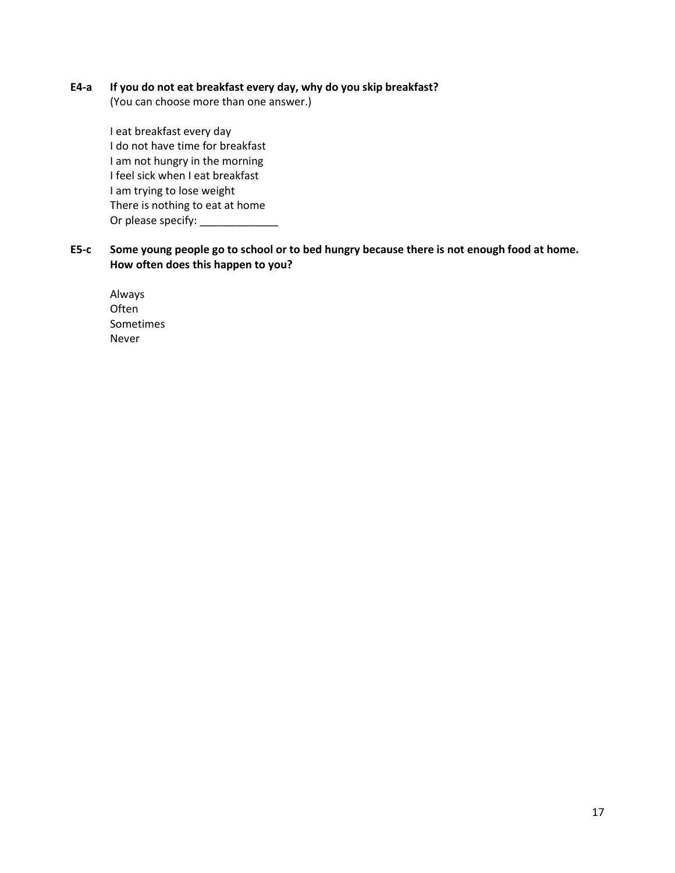### **E4-a If you do not eat breakfast every day, why do you skip breakfast?**

(You can choose more than one answer.)

I eat breakfast every day I do not have time for breakfast I am not hungry in the morning I feel sick when I eat breakfast I am trying to lose weight There is nothing to eat at home Or please specify:

# **E5-c Some young people go to school or to bed hungry because there is not enough food at home. How often does this happen to you?**

Always **Often** Sometimes Never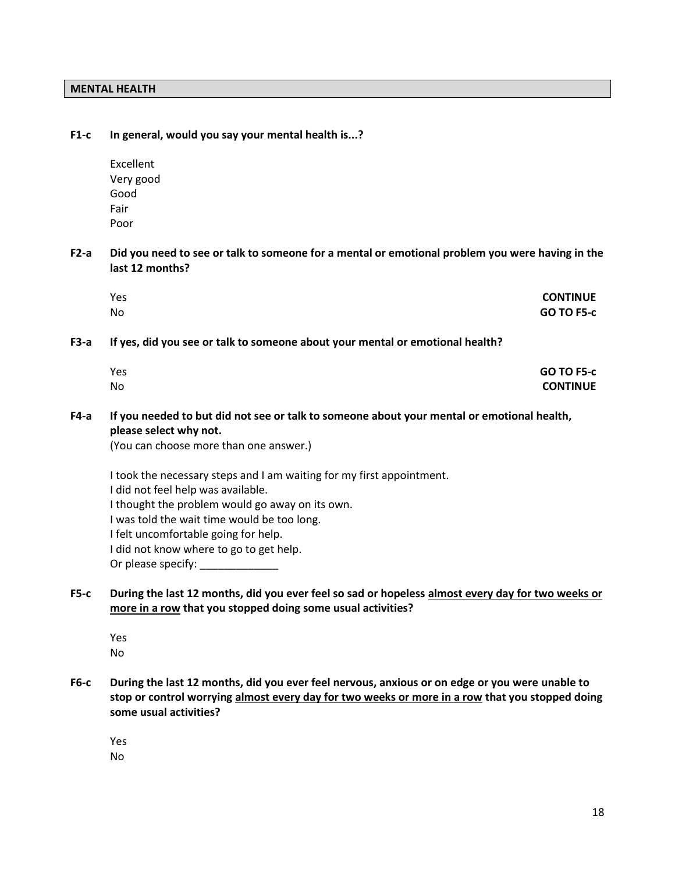# **MENTAL HEALTH**

| $F1-c$      | In general, would you say your mental health is?                                                                                                                                                                                                                                                                                        |                                      |
|-------------|-----------------------------------------------------------------------------------------------------------------------------------------------------------------------------------------------------------------------------------------------------------------------------------------------------------------------------------------|--------------------------------------|
|             | Excellent<br>Very good<br>Good                                                                                                                                                                                                                                                                                                          |                                      |
|             | Fair<br>Poor                                                                                                                                                                                                                                                                                                                            |                                      |
| $F2-a$      | Did you need to see or talk to someone for a mental or emotional problem you were having in the<br>last 12 months?                                                                                                                                                                                                                      |                                      |
|             | Yes<br>No                                                                                                                                                                                                                                                                                                                               | <b>CONTINUE</b><br><b>GO TO F5-c</b> |
| $F3-a$      | If yes, did you see or talk to someone about your mental or emotional health?                                                                                                                                                                                                                                                           |                                      |
|             | Yes<br><b>No</b>                                                                                                                                                                                                                                                                                                                        | <b>GO TO F5-c</b><br><b>CONTINUE</b> |
| $F4-a$      | If you needed to but did not see or talk to someone about your mental or emotional health,<br>please select why not.<br>(You can choose more than one answer.)                                                                                                                                                                          |                                      |
|             | I took the necessary steps and I am waiting for my first appointment.<br>I did not feel help was available.<br>I thought the problem would go away on its own.<br>I was told the wait time would be too long.<br>I felt uncomfortable going for help.<br>I did not know where to go to get help.<br>Or please specify: ________________ |                                      |
| $F5-c$      | During the last 12 months, did you ever feel so sad or hopeless almost every day for two weeks or<br>more in a row that you stopped doing some usual activities?                                                                                                                                                                        |                                      |
|             | Yes<br>No                                                                                                                                                                                                                                                                                                                               |                                      |
| <b>F6-c</b> | During the last 12 months, did you ever feel nervous, anxious or on edge or you were unable to<br>stop or control worrying almost every day for two weeks or more in a row that you stopped doing<br>some usual activities?                                                                                                             |                                      |
|             | Yes                                                                                                                                                                                                                                                                                                                                     |                                      |

No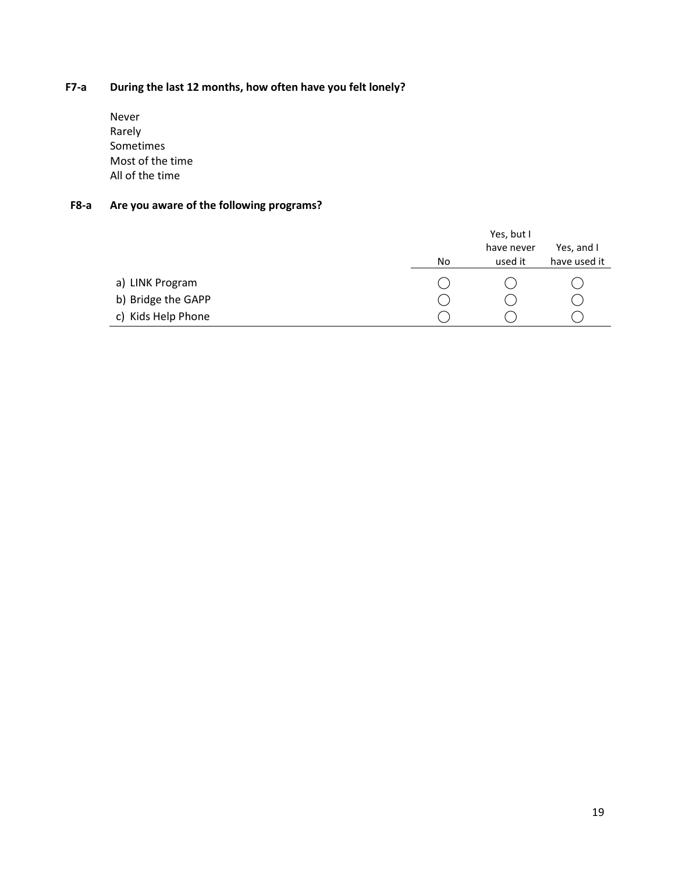# **F7-a During the last 12 months, how often have you felt lonely?**

Never Rarely Sometimes Most of the time All of the time

# **F8-a Are you aware of the following programs?**

|                    |    | Yes, but I |              |
|--------------------|----|------------|--------------|
|                    |    | have never | Yes, and I   |
|                    | No | used it    | have used it |
| a) LINK Program    |    |            |              |
| b) Bridge the GAPP |    |            |              |
| c) Kids Help Phone |    |            |              |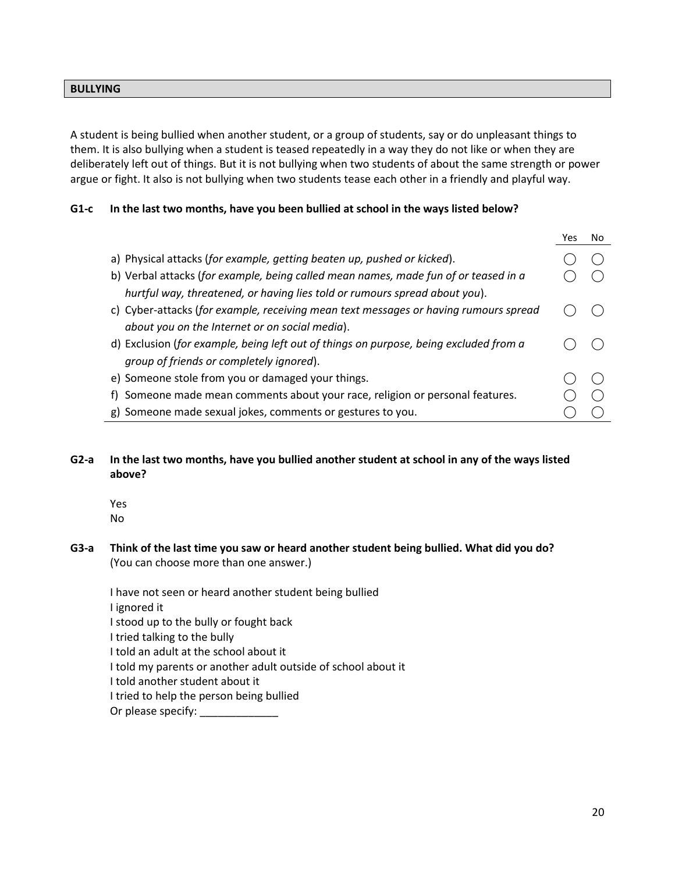### **BULLYING**

A student is being bullied when another student, or a group of students, say or do unpleasant things to them. It is also bullying when a student is teased repeatedly in a way they do not like or when they are deliberately left out of things. But it is not bullying when two students of about the same strength or power argue or fight. It also is not bullying when two students tease each other in a friendly and playful way.

# **G1-c In the last two months, have you been bullied at school in the ways listed below?**

|                                                                                       | Nο |
|---------------------------------------------------------------------------------------|----|
| a) Physical attacks (for example, getting beaten up, pushed or kicked).               |    |
| b) Verbal attacks (for example, being called mean names, made fun of or teased in a   |    |
| hurtful way, threatened, or having lies told or rumours spread about you).            |    |
| c) Cyber-attacks (for example, receiving mean text messages or having rumours spread  |    |
| about you on the Internet or on social media).                                        |    |
| d) Exclusion (for example, being left out of things on purpose, being excluded from a |    |
| group of friends or completely ignored).                                              |    |
| e) Someone stole from you or damaged your things.                                     |    |
| f) Someone made mean comments about your race, religion or personal features.         |    |
| g) Someone made sexual jokes, comments or gestures to you.                            |    |

### **G2-a In the last two months, have you bullied another student at school in any of the ways listed above?**

Yes No

**G3-a Think of the last time you saw or heard another student being bullied. What did you do?** 

(You can choose more than one answer.)

I have not seen or heard another student being bullied I ignored it I stood up to the bully or fought back I tried talking to the bully I told an adult at the school about it I told my parents or another adult outside of school about it I told another student about it I tried to help the person being bullied

Or please specify: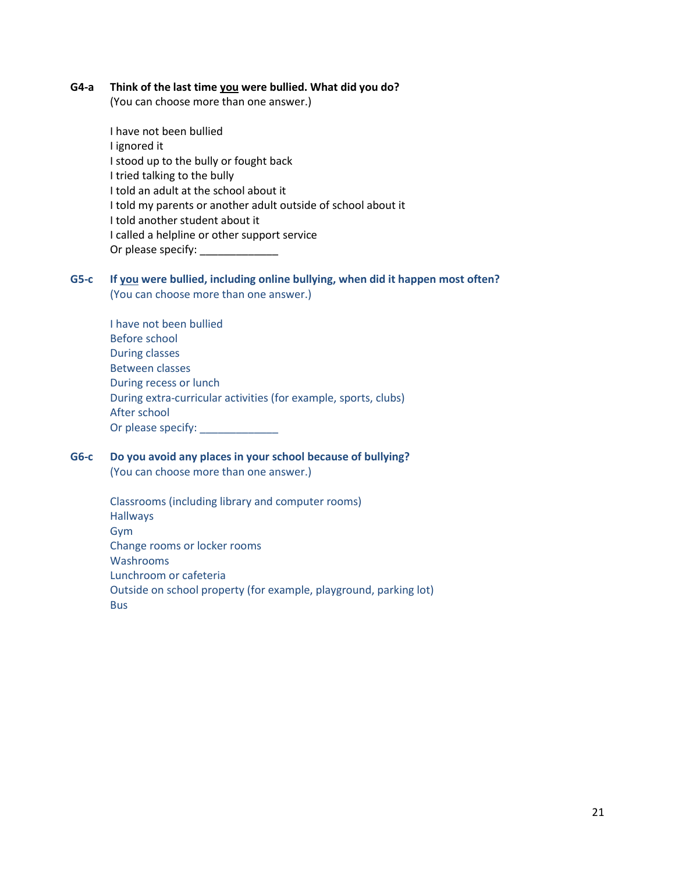#### **G4-a Think of the last time you were bullied. What did you do?**

(You can choose more than one answer.)

I have not been bullied I ignored it I stood up to the bully or fought back I tried talking to the bully I told an adult at the school about it I told my parents or another adult outside of school about it I told another student about it I called a helpline or other support service Or please specify: \_\_\_\_\_\_\_\_\_\_\_\_\_

### **G5-c If you were bullied, including online bullying, when did it happen most often?**  (You can choose more than one answer.)

I have not been bullied Before school During classes Between classes During recess or lunch During extra-curricular activities (for example, sports, clubs) After school Or please specify: \_\_\_\_\_\_\_\_\_\_\_\_\_\_

# **G6-c Do you avoid any places in your school because of bullying?**

(You can choose more than one answer.)

| Classrooms (including library and computer rooms)                 |
|-------------------------------------------------------------------|
| <b>Hallways</b>                                                   |
| Gym                                                               |
| Change rooms or locker rooms                                      |
| Washrooms                                                         |
| Lunchroom or cafeteria                                            |
| Outside on school property (for example, playground, parking lot) |
| <b>Bus</b>                                                        |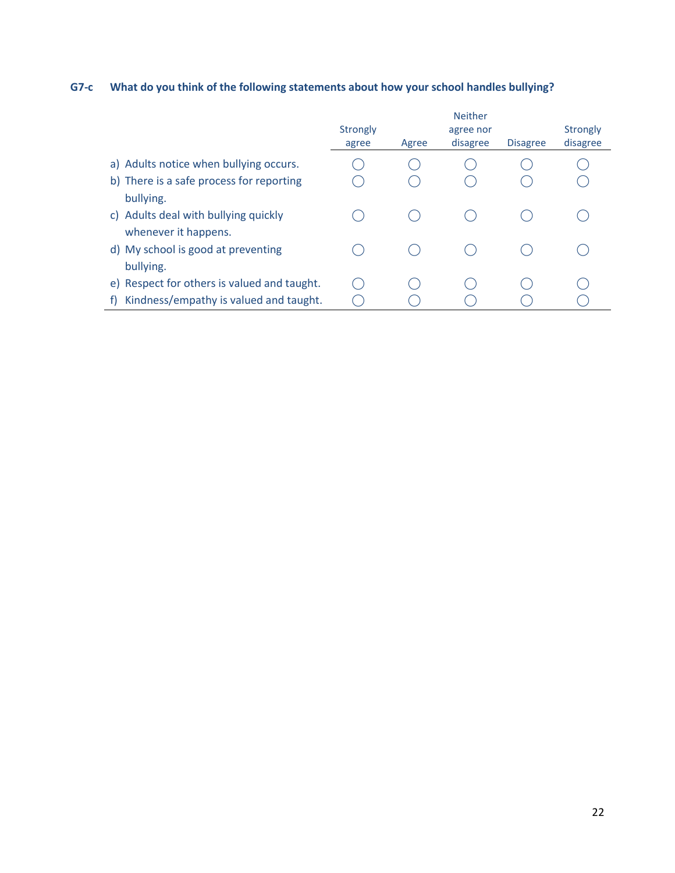# **G7-c What do you think of the following statements about how your school handles bullying?**

|                                                              | Strongly<br>agree | Agree | <b>Neither</b><br>agree nor<br>disagree | <b>Disagree</b> | <b>Strongly</b><br>disagree |
|--------------------------------------------------------------|-------------------|-------|-----------------------------------------|-----------------|-----------------------------|
| a) Adults notice when bullying occurs.                       |                   |       |                                         |                 |                             |
| b) There is a safe process for reporting<br>bullying.        |                   |       |                                         |                 |                             |
| c) Adults deal with bullying quickly<br>whenever it happens. |                   |       |                                         |                 |                             |
| d) My school is good at preventing<br>bullying.              |                   |       |                                         |                 |                             |
| e) Respect for others is valued and taught.                  |                   |       |                                         |                 |                             |
| Kindness/empathy is valued and taught.<br>f)                 |                   |       |                                         |                 |                             |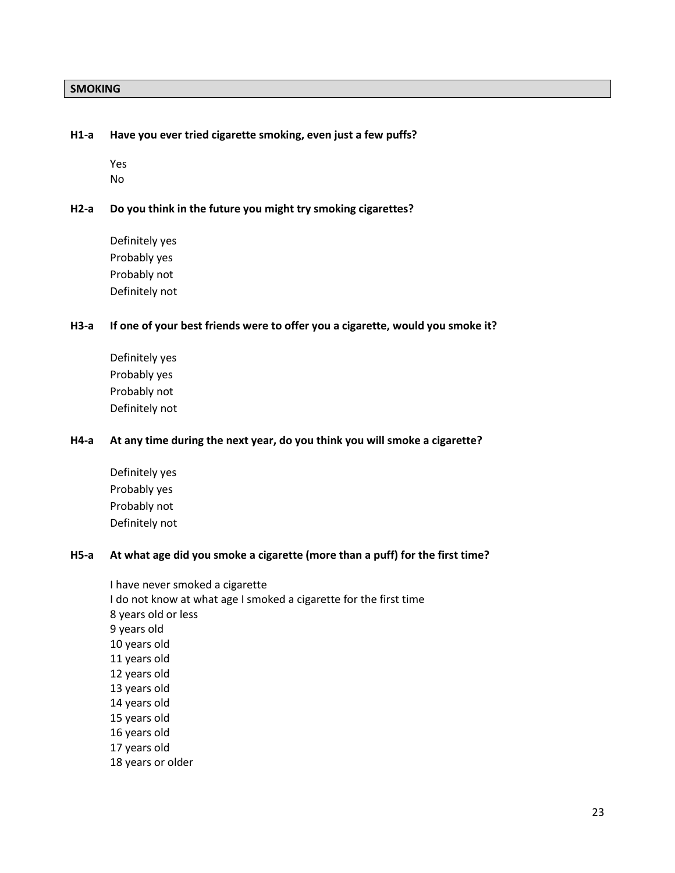#### **SMOKING**

#### **H1-a Have you ever tried cigarette smoking, even just a few puffs?**

Yes No

#### **H2-a Do you think in the future you might try smoking cigarettes?**

Definitely yes Probably yes Probably not Definitely not

#### **H3-a If one of your best friends were to offer you a cigarette, would you smoke it?**

Definitely yes Probably yes Probably not Definitely not

#### **H4-a At any time during the next year, do you think you will smoke a cigarette?**

Definitely yes Probably yes Probably not Definitely not

#### **H5-a At what age did you smoke a cigarette (more than a puff) for the first time?**

I have never smoked a cigarette I do not know at what age I smoked a cigarette for the first time 8 years old or less 9 years old 10 years old 11 years old 12 years old 13 years old 14 years old 15 years old 16 years old 17 years old 18 years or older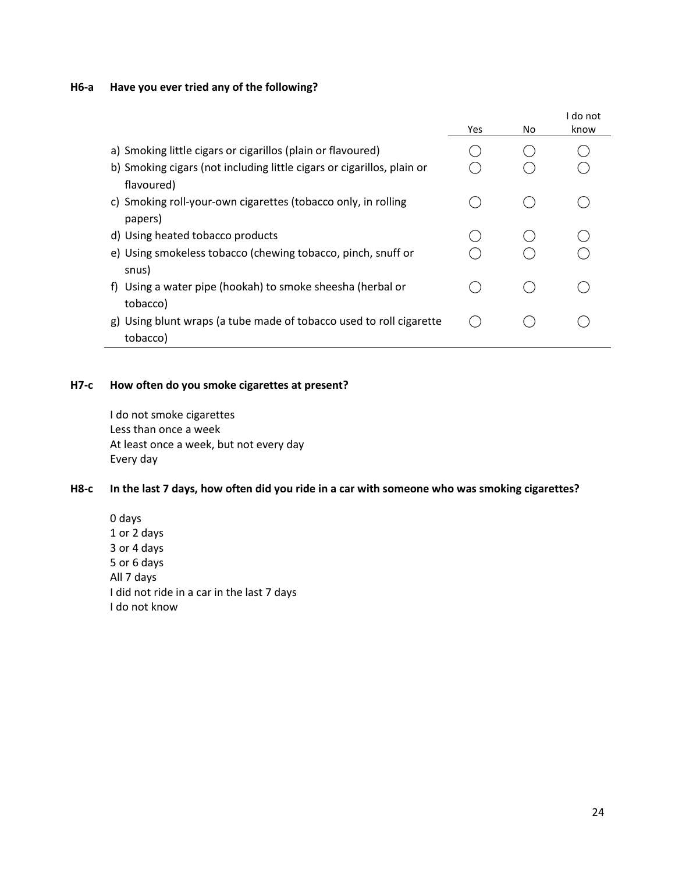# **H6-a Have you ever tried any of the following?**

|                                                                                      | Yes | No | I do not<br>know |
|--------------------------------------------------------------------------------------|-----|----|------------------|
| a) Smoking little cigars or cigarillos (plain or flavoured)                          |     |    |                  |
| b) Smoking cigars (not including little cigars or cigarillos, plain or<br>flavoured) |     |    |                  |
| c) Smoking roll-your-own cigarettes (tobacco only, in rolling<br>papers)             |     |    |                  |
| d) Using heated tobacco products                                                     |     |    |                  |
| e) Using smokeless tobacco (chewing tobacco, pinch, snuff or<br>snus)                |     |    |                  |
| Using a water pipe (hookah) to smoke sheesha (herbal or<br>t).<br>tobacco)           |     |    |                  |
| g) Using blunt wraps (a tube made of tobacco used to roll cigarette<br>tobacco)      |     |    |                  |

### **H7-c How often do you smoke cigarettes at present?**

I do not smoke cigarettes Less than once a week At least once a week, but not every day Every day

### **H8-c In the last 7 days, how often did you ride in a car with someone who was smoking cigarettes?**

0 days 1 or 2 days 3 or 4 days 5 or 6 days All 7 days I did not ride in a car in the last 7 days I do not know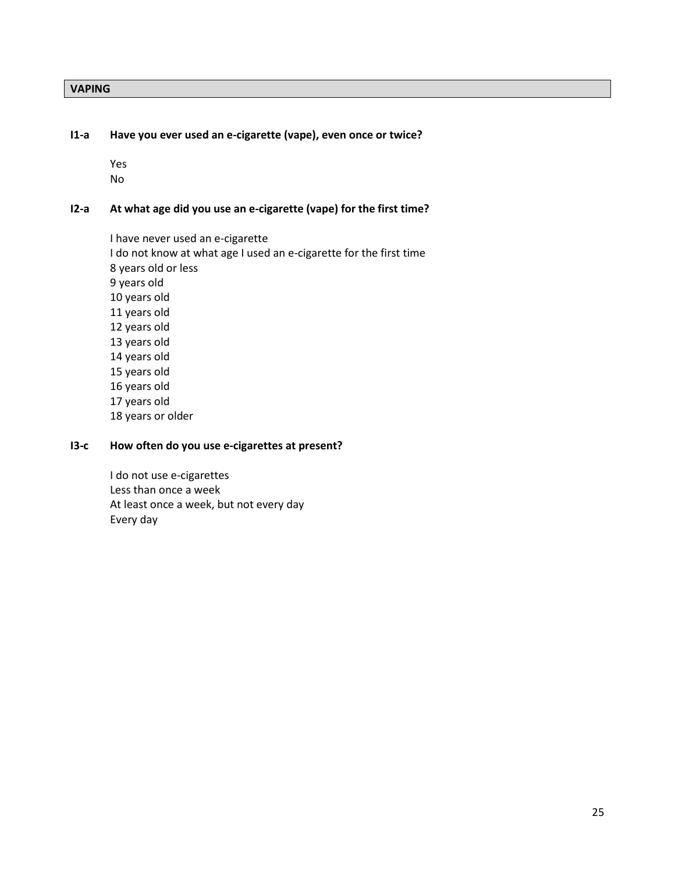### **VAPING**

#### **I1-a Have you ever used an e-cigarette (vape), even once or twice?**

Yes No

## **I2-a At what age did you use an e-cigarette (vape) for the first time?**

I have never used an e-cigarette I do not know at what age I used an e-cigarette for the first time 8 years old or less 9 years old 10 years old 11 years old 12 years old 13 years old 14 years old 15 years old 16 years old 17 years old 18 years or older

### **I3-c How often do you use e-cigarettes at present?**

I do not use e-cigarettes Less than once a week At least once a week, but not every day Every day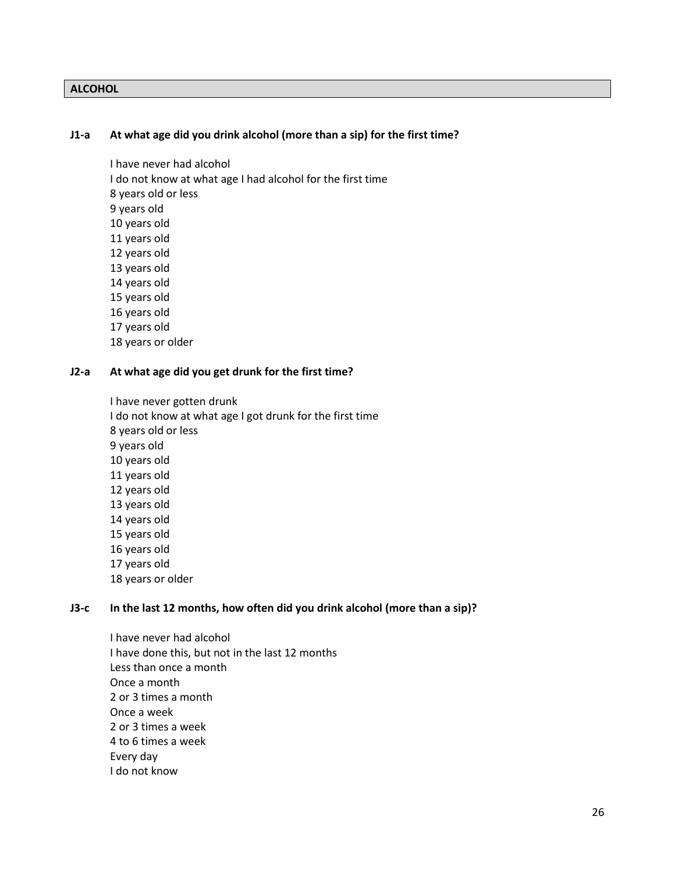### **ALCOHOL**

#### **J1-a At what age did you drink alcohol (more than a sip) for the first time?**

I have never had alcohol I do not know at what age I had alcohol for the first time 8 years old or less 9 years old 10 years old 11 years old 12 years old 13 years old 14 years old 15 years old 16 years old 17 years old

18 years or older

#### **J2-a At what age did you get drunk for the first time?**

I have never gotten drunk I do not know at what age I got drunk for the first time 8 years old or less 9 years old 10 years old 11 years old 12 years old 13 years old 14 years old 15 years old 16 years old 17 years old 18 years or older

#### **J3-c In the last 12 months, how often did you drink alcohol (more than a sip)?**

I have never had alcohol I have done this, but not in the last 12 months Less than once a month Once a month 2 or 3 times a month Once a week 2 or 3 times a week 4 to 6 times a week Every day I do not know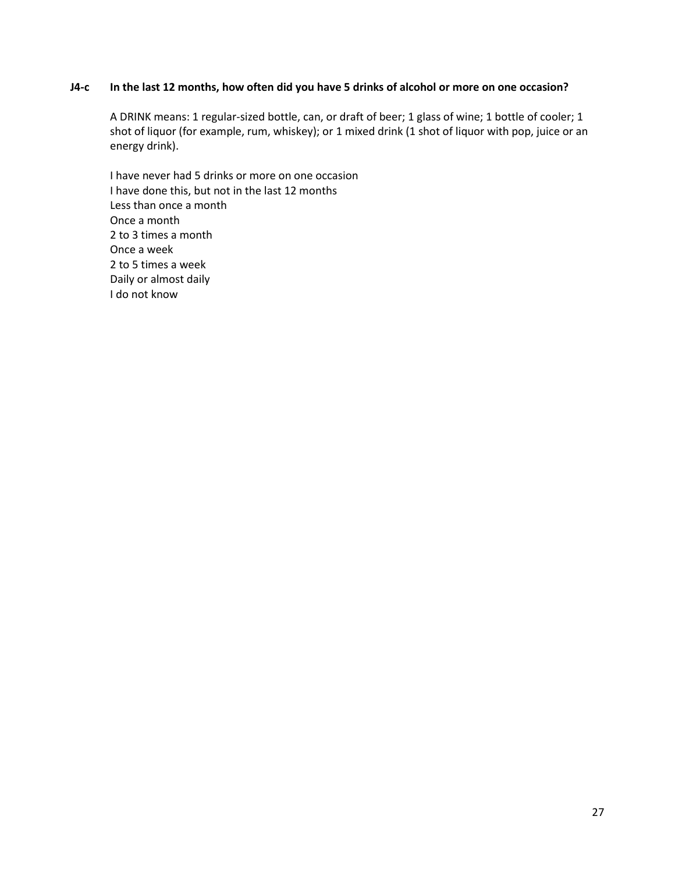#### **J4-c In the last 12 months, how often did you have 5 drinks of alcohol or more on one occasion?**

A DRINK means: 1 regular-sized bottle, can, or draft of beer; 1 glass of wine; 1 bottle of cooler; 1 shot of liquor (for example, rum, whiskey); or 1 mixed drink (1 shot of liquor with pop, juice or an energy drink).

I have never had 5 drinks or more on one occasion I have done this, but not in the last 12 months Less than once a month Once a month 2 to 3 times a month Once a week 2 to 5 times a week Daily or almost daily I do not know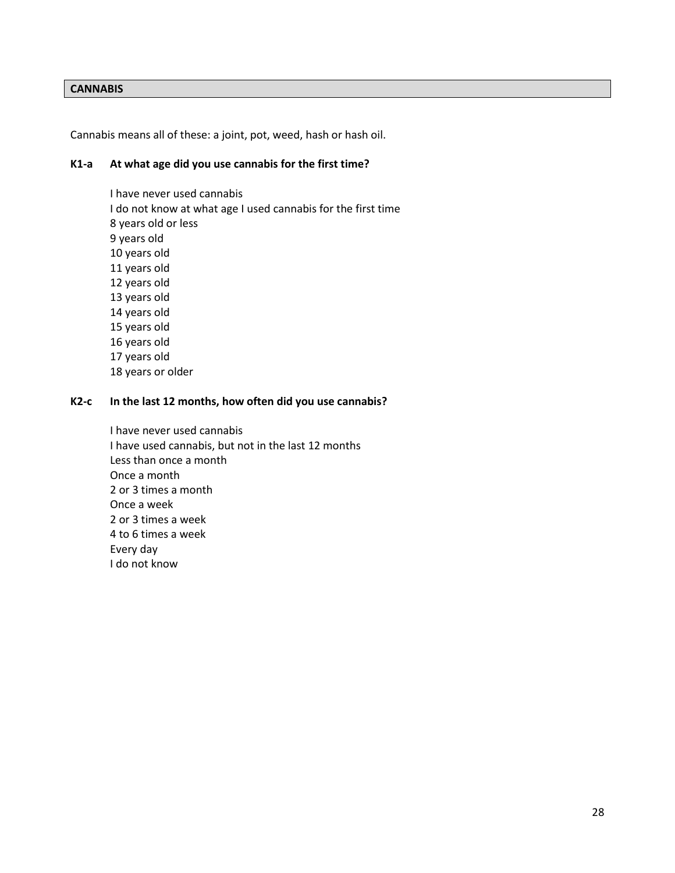#### **CANNABIS**

Cannabis means all of these: a joint, pot, weed, hash or hash oil.

### **K1-a At what age did you use cannabis for the first time?**

I have never used cannabis I do not know at what age I used cannabis for the first time 8 years old or less 9 years old 10 years old 11 years old 12 years old 13 years old 14 years old 15 years old 16 years old 17 years old 18 years or older

#### **K2-c In the last 12 months, how often did you use cannabis?**

I have never used cannabis I have used cannabis, but not in the last 12 months Less than once a month Once a month 2 or 3 times a month Once a week 2 or 3 times a week 4 to 6 times a week Every day I do not know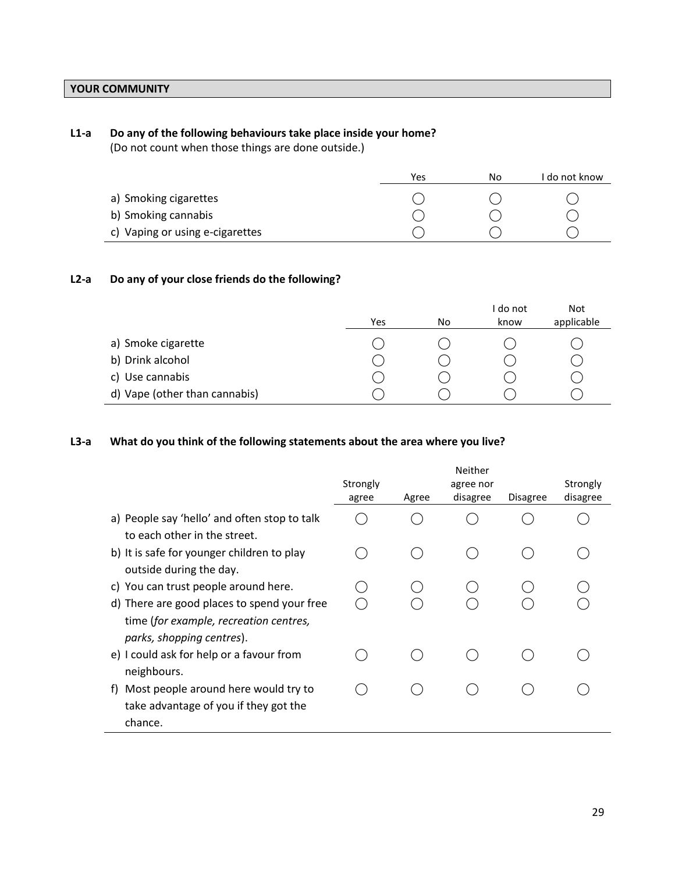# **YOUR COMMUNITY**

### **L1-a Do any of the following behaviours take place inside your home?**

(Do not count when those things are done outside.)

|                                 | Yes | No | I do not know |
|---------------------------------|-----|----|---------------|
| a) Smoking cigarettes           |     |    |               |
| b) Smoking cannabis             |     |    |               |
| c) Vaping or using e-cigarettes |     |    |               |

### **L2-a Do any of your close friends do the following?**

|                               | Yes | No | I do not<br>know | <b>Not</b><br>applicable |
|-------------------------------|-----|----|------------------|--------------------------|
|                               |     |    |                  |                          |
| a) Smoke cigarette            |     |    |                  |                          |
| b) Drink alcohol              |     |    |                  |                          |
| c) Use cannabis               |     |    |                  |                          |
| d) Vape (other than cannabis) |     |    |                  |                          |

### **L3-a What do you think of the following statements about the area where you live?**

|                                              | Neither  |       |           |                 |          |  |
|----------------------------------------------|----------|-------|-----------|-----------------|----------|--|
|                                              | Strongly |       | agree nor |                 | Strongly |  |
|                                              | agree    | Agree | disagree  | <b>Disagree</b> | disagree |  |
| a) People say 'hello' and often stop to talk |          |       |           |                 |          |  |
| to each other in the street.                 |          |       |           |                 |          |  |
| b) It is safe for younger children to play   |          |       |           |                 |          |  |
| outside during the day.                      |          |       |           |                 |          |  |
| c) You can trust people around here.         |          |       |           |                 |          |  |
| d) There are good places to spend your free  |          |       |           |                 |          |  |
| time (for example, recreation centres,       |          |       |           |                 |          |  |
| parks, shopping centres).                    |          |       |           |                 |          |  |
| e) I could ask for help or a favour from     |          |       |           |                 |          |  |
| neighbours.                                  |          |       |           |                 |          |  |
| Most people around here would try to<br>t)   |          |       |           |                 |          |  |
| take advantage of you if they got the        |          |       |           |                 |          |  |
| chance.                                      |          |       |           |                 |          |  |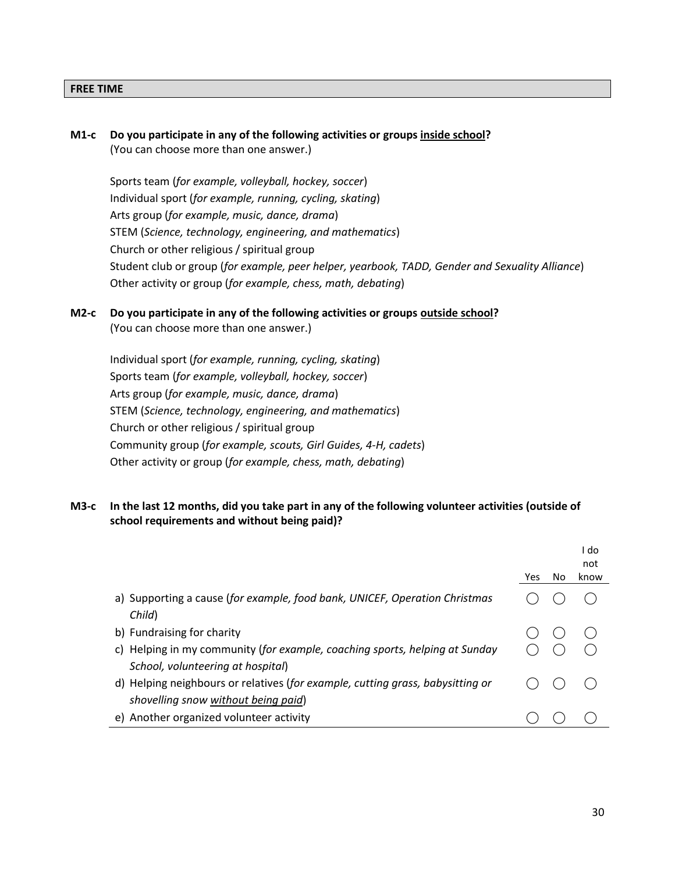### **FREE TIME**

| М1-с | Do you participate in any of the following activities or groups inside school?<br>(You can choose more than one answer.) |
|------|--------------------------------------------------------------------------------------------------------------------------|
|      | Sports team (for example, volleyball, hockey, soccer)                                                                    |
|      | Individual sport (for example, running, cycling, skating)                                                                |
|      | Arts group (for example, music, dance, drama)                                                                            |
|      | STEM (Science, technology, engineering, and mathematics)                                                                 |
|      | Church or other religious / spiritual group                                                                              |
|      | Student club or group (for example, peer helper, yearbook, TADD, Gender and Sexuality Alliance)                          |
|      | Other activity or group (for example, chess, math, debating)                                                             |
|      |                                                                                                                          |

# **M2-c Do you participate in any of the following activities or groups outside school?**

(You can choose more than one answer.)

Individual sport (*for example, running, cycling, skating*) Sports team (*for example, volleyball, hockey, soccer*) Arts group (*for example, music, dance, drama*) STEM (*Science, technology, engineering, and mathematics*) Church or other religious / spiritual group Community group (*for example, scouts, Girl Guides, 4-H, cadets*) Other activity or group (*for example, chess, math, debating*)

### **M3-c In the last 12 months, did you take part in any of the following volunteer activities (outside of school requirements and without being paid)?**

|                                                                                                                     |     |     | I do<br>not |
|---------------------------------------------------------------------------------------------------------------------|-----|-----|-------------|
|                                                                                                                     | Yes | No. | know        |
| a) Supporting a cause (for example, food bank, UNICEF, Operation Christmas<br>Child)                                |     |     |             |
| b) Fundraising for charity                                                                                          |     |     |             |
| c) Helping in my community (for example, coaching sports, helping at Sunday                                         |     |     |             |
| School, volunteering at hospital)<br>d) Helping neighbours or relatives (for example, cutting grass, babysitting or |     |     |             |
| shovelling snow without being paid)                                                                                 |     |     |             |
| e) Another organized volunteer activity                                                                             |     |     |             |